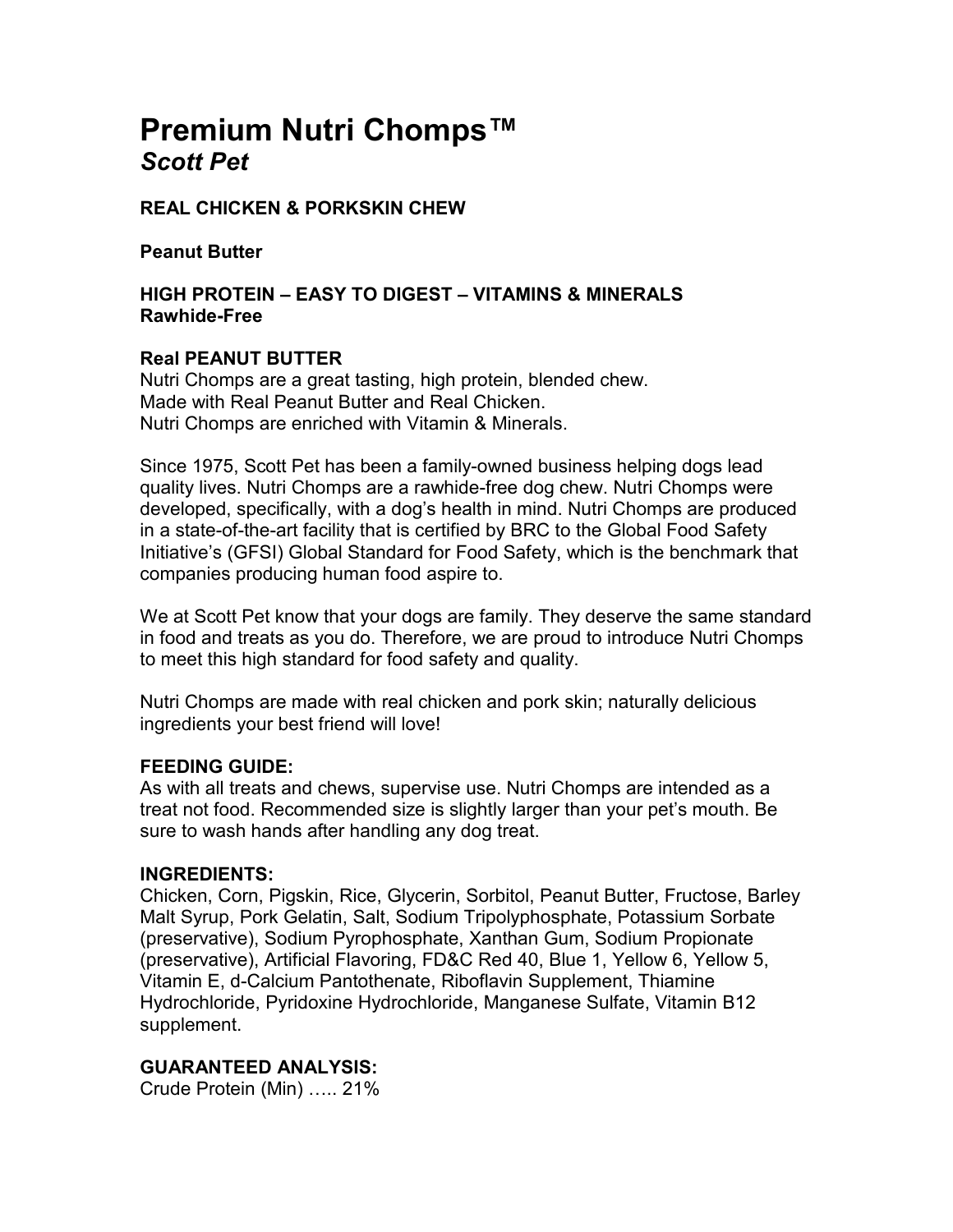# **Premium Nutri Chomps™** *Scott Pet*

**REAL CHICKEN & PORKSKIN CHEW** 

**Peanut Butter** 

#### **HIGH PROTEIN – EASY TO DIGEST – VITAMINS & MINERALS Rawhide-Free**

## **Real PEANUT BUTTER**

Nutri Chomps are a great tasting, high protein, blended chew. Made with Real Peanut Butter and Real Chicken. Nutri Chomps are enriched with Vitamin & Minerals.

Since 1975, Scott Pet has been a family-owned business helping dogs lead quality lives. Nutri Chomps are a rawhide-free dog chew. Nutri Chomps were developed, specifically, with a dog's health in mind. Nutri Chomps are produced in a state-of-the-art facility that is certified by BRC to the Global Food Safety Initiative's (GFSI) Global Standard for Food Safety, which is the benchmark that companies producing human food aspire to.

We at Scott Pet know that your dogs are family. They deserve the same standard in food and treats as you do. Therefore, we are proud to introduce Nutri Chomps to meet this high standard for food safety and quality.

Nutri Chomps are made with real chicken and pork skin; naturally delicious ingredients your best friend will love!

#### **FEEDING GUIDE:**

As with all treats and chews, supervise use. Nutri Chomps are intended as a treat not food. Recommended size is slightly larger than your pet's mouth. Be sure to wash hands after handling any dog treat.

#### **INGREDIENTS:**

Chicken, Corn, Pigskin, Rice, Glycerin, Sorbitol, Peanut Butter, Fructose, Barley Malt Syrup, Pork Gelatin, Salt, Sodium Tripolyphosphate, Potassium Sorbate (preservative), Sodium Pyrophosphate, Xanthan Gum, Sodium Propionate (preservative), Artificial Flavoring, FD&C Red 40, Blue 1, Yellow 6, Yellow 5, Vitamin E, d-Calcium Pantothenate, Riboflavin Supplement, Thiamine Hydrochloride, Pyridoxine Hydrochloride, Manganese Sulfate, Vitamin B12 supplement.

## **GUARANTEED ANALYSIS:**

Crude Protein (Min) ..... 21%